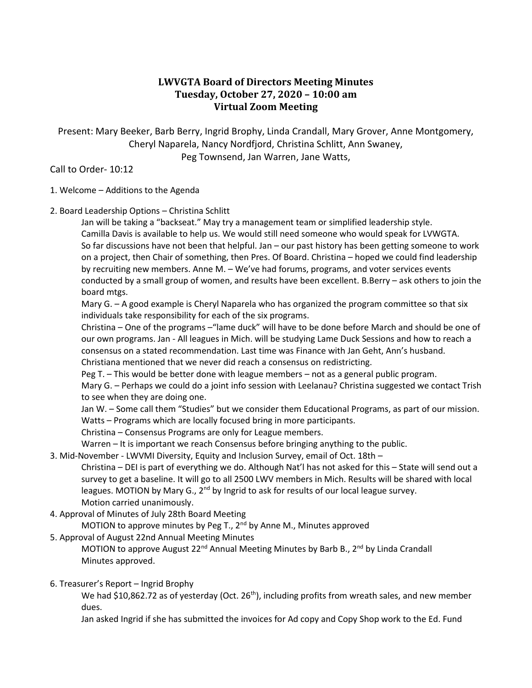# **LWVGTA Board of Directors Meeting Minutes Tuesday, October 27, 2020 – 10:00 am Virtual Zoom Meeting**

Present: Mary Beeker, Barb Berry, Ingrid Brophy, Linda Crandall, Mary Grover, Anne Montgomery, Cheryl Naparela, Nancy Nordfjord, Christina Schlitt, Ann Swaney, Peg Townsend, Jan Warren, Jane Watts,

Call to Order- 10:12

# 1. Welcome – Additions to the Agenda

2. Board Leadership Options – Christina Schlitt

Jan will be taking a "backseat." May try a management team or simplified leadership style. Camilla Davis is available to help us. We would still need someone who would speak for LVWGTA. So far discussions have not been that helpful. Jan – our past history has been getting someone to work on a project, then Chair of something, then Pres. Of Board. Christina – hoped we could find leadership by recruiting new members. Anne M. – We've had forums, programs, and voter services events conducted by a small group of women, and results have been excellent. B.Berry – ask others to join the board mtgs.

Mary G. – A good example is Cheryl Naparela who has organized the program committee so that six individuals take responsibility for each of the six programs.

Christina – One of the programs –"lame duck" will have to be done before March and should be one of our own programs. Jan - All leagues in Mich. will be studying Lame Duck Sessions and how to reach a consensus on a stated recommendation. Last time was Finance with Jan Geht, Ann's husband. Christiana mentioned that we never did reach a consensus on redistricting.

Peg T. – This would be better done with league members – not as a general public program.

Mary G. – Perhaps we could do a joint info session with Leelanau? Christina suggested we contact Trish to see when they are doing one.

Jan W. – Some call them "Studies" but we consider them Educational Programs, as part of our mission. Watts – Programs which are locally focused bring in more participants.

Christina – Consensus Programs are only for League members.

Warren – It is important we reach Consensus before bringing anything to the public.

3. Mid-November - LWVMI Diversity, Equity and Inclusion Survey, email of Oct. 18th –

Christina – DEI is part of everything we do. Although Nat'l has not asked for this – State will send out a survey to get a baseline. It will go to all 2500 LWV members in Mich. Results will be shared with local leagues. MOTION by Mary G.,  $2^{nd}$  by Ingrid to ask for results of our local league survey. Motion carried unanimously.

4. Approval of Minutes of July 28th Board Meeting

MOTION to approve minutes by Peg T.,  $2<sup>nd</sup>$  by Anne M., Minutes approved

5. Approval of August 22nd Annual Meeting Minutes

MOTION to approve August 22<sup>nd</sup> Annual Meeting Minutes by Barb B., 2<sup>nd</sup> by Linda Crandall Minutes approved.

6. Treasurer's Report – Ingrid Brophy

We had \$10,862.72 as of yesterday (Oct. 26<sup>th</sup>), including profits from wreath sales, and new member dues.

Jan asked Ingrid if she has submitted the invoices for Ad copy and Copy Shop work to the Ed. Fund